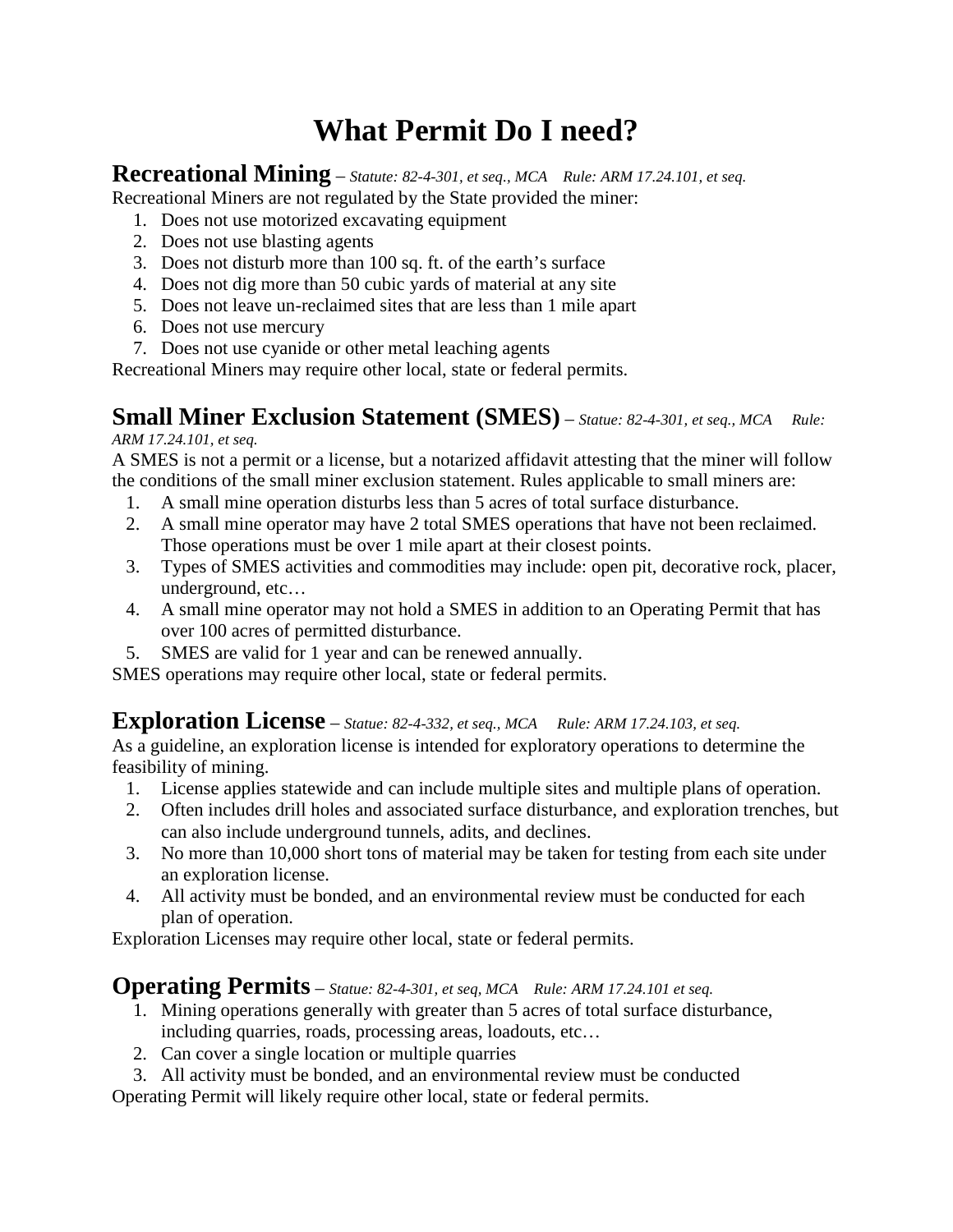# **What Permit Do I need?**

## **Recreational Mining** – *Statute: 82-4-301, et seq., MCA Rule: ARM 17.24.101, et seq.*

Recreational Miners are not regulated by the State provided the miner:

- 1. Does not use motorized excavating equipment
- 2. Does not use blasting agents
- 3. Does not disturb more than 100 sq. ft. of the earth's surface
- 4. Does not dig more than 50 cubic yards of material at any site
- 5. Does not leave un-reclaimed sites that are less than 1 mile apart
- 6. Does not use mercury
- 7. Does not use cyanide or other metal leaching agents

Recreational Miners may require other local, state or federal permits.

## **Small Miner Exclusion Statement (SMES)** – *Statue: 82-4-301, et seq., MCA Rule:*

#### *ARM 17.24.101, et seq.*

A SMES is not a permit or a license, but a notarized affidavit attesting that the miner will follow the conditions of the small miner exclusion statement. Rules applicable to small miners are:

- 1. A small mine operation disturbs less than 5 acres of total surface disturbance.
- 2. A small mine operator may have 2 total SMES operations that have not been reclaimed. Those operations must be over 1 mile apart at their closest points.
- 3. Types of SMES activities and commodities may include: open pit, decorative rock, placer, underground, etc…
- 4. A small mine operator may not hold a SMES in addition to an Operating Permit that has over 100 acres of permitted disturbance.
- 5. SMES are valid for 1 year and can be renewed annually.

SMES operations may require other local, state or federal permits.

# **Exploration License** – *Statue: 82-4-332, et seq., MCA Rule: ARM 17.24.103, et seq.*

As a guideline, an exploration license is intended for exploratory operations to determine the feasibility of mining.

- 1. License applies statewide and can include multiple sites and multiple plans of operation.
- 2. Often includes drill holes and associated surface disturbance, and exploration trenches, but can also include underground tunnels, adits, and declines.
- 3. No more than 10,000 short tons of material may be taken for testing from each site under an exploration license.
- 4. All activity must be bonded, and an environmental review must be conducted for each plan of operation.

Exploration Licenses may require other local, state or federal permits.

## **Operating Permits** – *Statue: 82-4-301, et seq, MCA Rule: ARM 17.24.101 et seq.*

- 1. Mining operations generally with greater than 5 acres of total surface disturbance, including quarries, roads, processing areas, loadouts, etc…
- 2. Can cover a single location or multiple quarries
- 3. All activity must be bonded, and an environmental review must be conducted

Operating Permit will likely require other local, state or federal permits.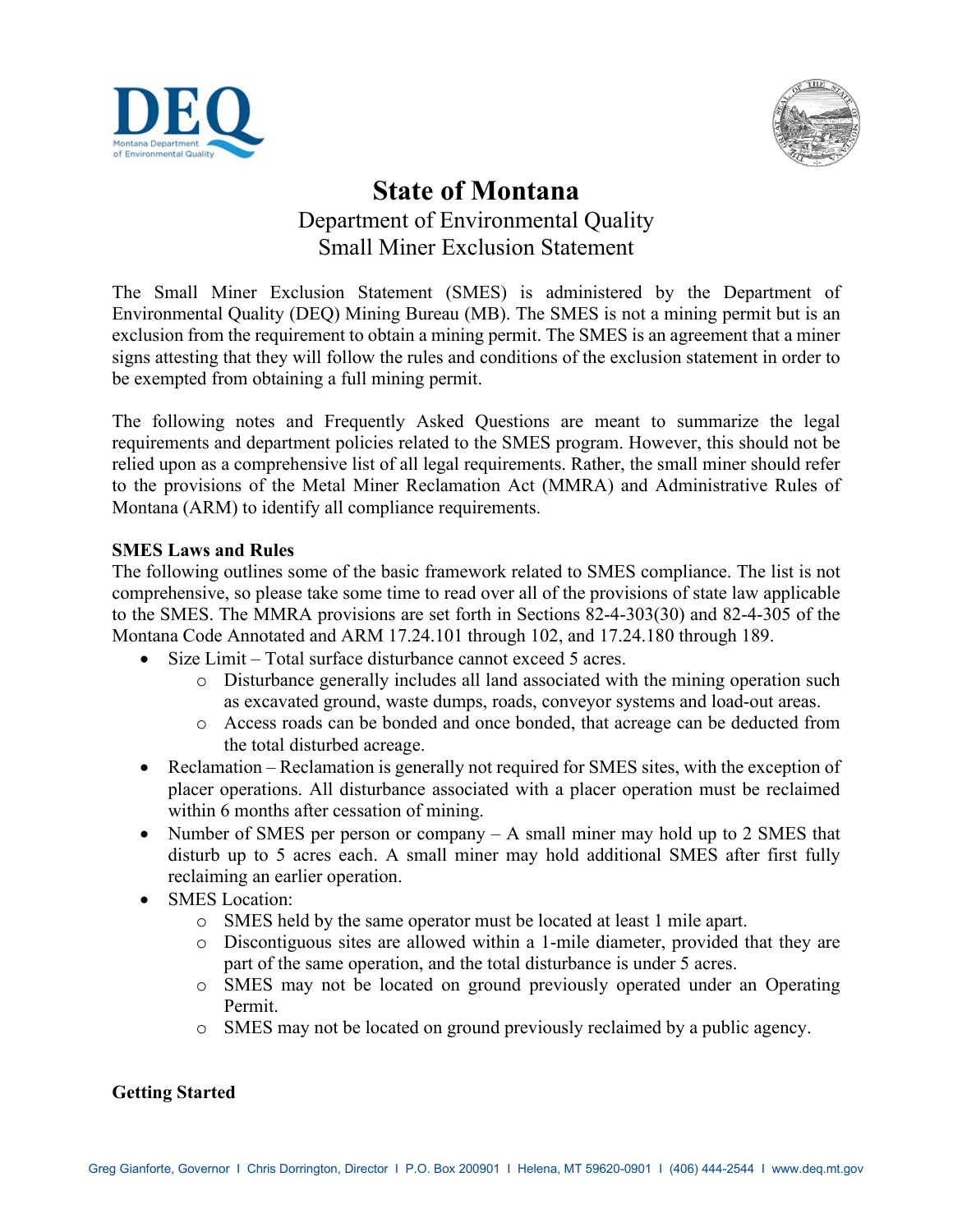



# **State of Montana** Department of Environmental Quality Small Miner Exclusion Statement

The Small Miner Exclusion Statement (SMES) is administered by the Department of Environmental Quality (DEQ) Mining Bureau (MB). The SMES is not a mining permit but is an exclusion from the requirement to obtain a mining permit. The SMES is an agreement that a miner signs attesting that they will follow the rules and conditions of the exclusion statement in order to be exempted from obtaining a full mining permit.

The following notes and Frequently Asked Questions are meant to summarize the legal requirements and department policies related to the SMES program. However, this should not be relied upon as a comprehensive list of all legal requirements. Rather, the small miner should refer to the provisions of the Metal Miner Reclamation Act (MMRA) and Administrative Rules of Montana (ARM) to identify all compliance requirements.

#### **SMES Laws and Rules**

The following outlines some of the basic framework related to SMES compliance. The list is not comprehensive, so please take some time to read over all of the provisions of state law applicable to the SMES. The MMRA provisions are set forth in Sections 82-4-303(30) and 82-4-305 of the Montana Code Annotated and ARM 17.24.101 through 102, and 17.24.180 through 189.

- Size Limit Total surface disturbance cannot exceed 5 acres.
	- o Disturbance generally includes all land associated with the mining operation such as excavated ground, waste dumps, roads, conveyor systems and load-out areas.
	- o Access roads can be bonded and once bonded, that acreage can be deducted from the total disturbed acreage.
- Reclamation Reclamation is generally not required for SMES sites, with the exception of placer operations. All disturbance associated with a placer operation must be reclaimed within 6 months after cessation of mining.
- Number of SMES per person or company A small miner may hold up to 2 SMES that disturb up to 5 acres each. A small miner may hold additional SMES after first fully reclaiming an earlier operation.
- SMES Location:
	- o SMES held by the same operator must be located at least 1 mile apart.
	- o Discontiguous sites are allowed within a 1-mile diameter, provided that they are part of the same operation, and the total disturbance is under 5 acres.
	- o SMES may not be located on ground previously operated under an Operating Permit.
	- o SMES may not be located on ground previously reclaimed by a public agency.

### **Getting Started**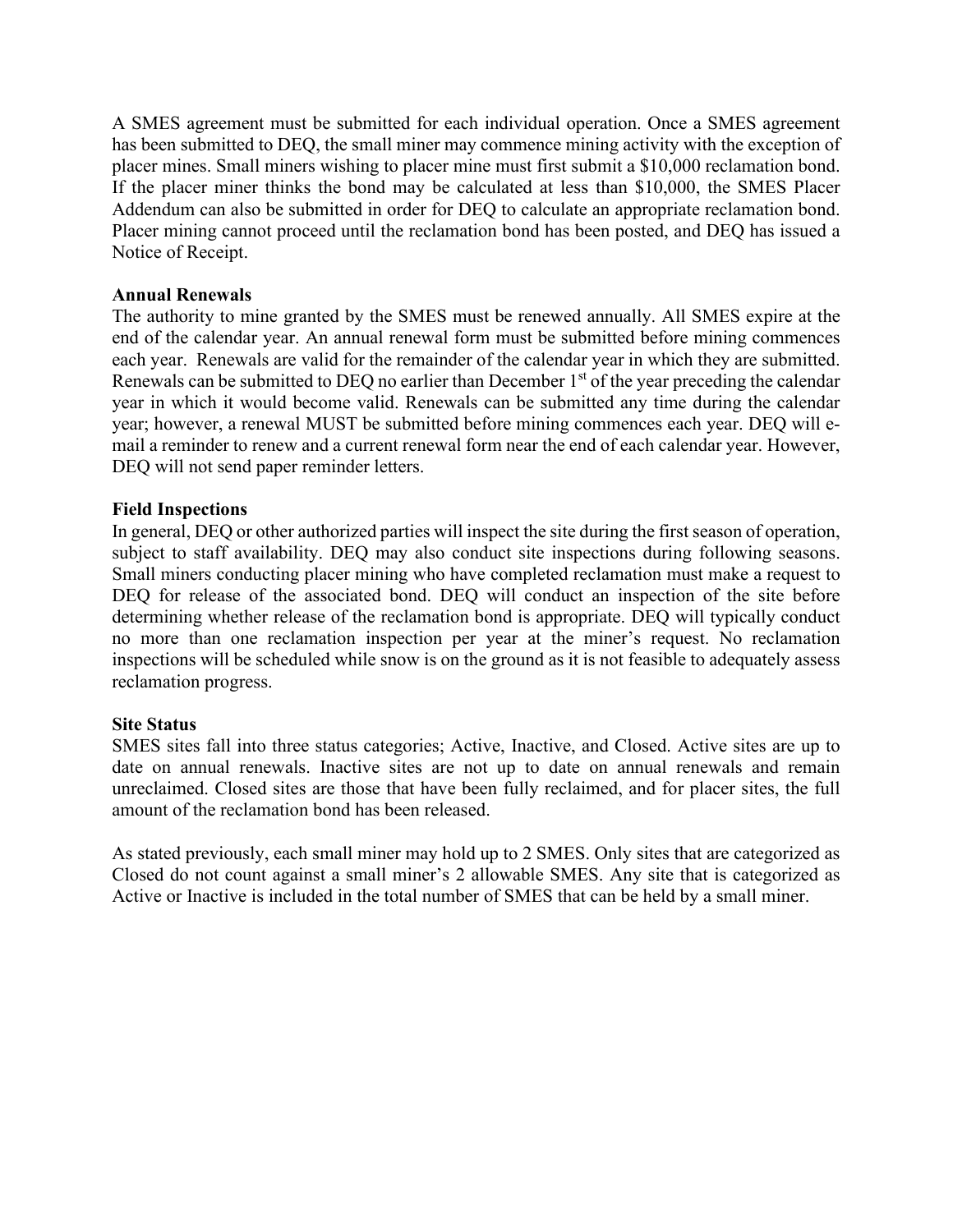A SMES agreement must be submitted for each individual operation. Once a SMES agreement has been submitted to DEQ, the small miner may commence mining activity with the exception of placer mines. Small miners wishing to placer mine must first submit a \$10,000 reclamation bond. If the placer miner thinks the bond may be calculated at less than \$10,000, the SMES Placer Addendum can also be submitted in order for DEQ to calculate an appropriate reclamation bond. Placer mining cannot proceed until the reclamation bond has been posted, and DEQ has issued a Notice of Receipt.

#### **Annual Renewals**

The authority to mine granted by the SMES must be renewed annually. All SMES expire at the end of the calendar year. An annual renewal form must be submitted before mining commences each year. Renewals are valid for the remainder of the calendar year in which they are submitted. Renewals can be submitted to DEQ no earlier than December 1<sup>st</sup> of the year preceding the calendar year in which it would become valid. Renewals can be submitted any time during the calendar year; however, a renewal MUST be submitted before mining commences each year. DEQ will email a reminder to renew and a current renewal form near the end of each calendar year. However, DEQ will not send paper reminder letters.

#### **Field Inspections**

In general, DEQ or other authorized parties will inspect the site during the first season of operation, subject to staff availability. DEQ may also conduct site inspections during following seasons. Small miners conducting placer mining who have completed reclamation must make a request to DEQ for release of the associated bond. DEQ will conduct an inspection of the site before determining whether release of the reclamation bond is appropriate. DEQ will typically conduct no more than one reclamation inspection per year at the miner's request. No reclamation inspections will be scheduled while snow is on the ground as it is not feasible to adequately assess reclamation progress.

#### **Site Status**

SMES sites fall into three status categories; Active, Inactive, and Closed. Active sites are up to date on annual renewals. Inactive sites are not up to date on annual renewals and remain unreclaimed. Closed sites are those that have been fully reclaimed, and for placer sites, the full amount of the reclamation bond has been released.

As stated previously, each small miner may hold up to 2 SMES. Only sites that are categorized as Closed do not count against a small miner's 2 allowable SMES. Any site that is categorized as Active or Inactive is included in the total number of SMES that can be held by a small miner.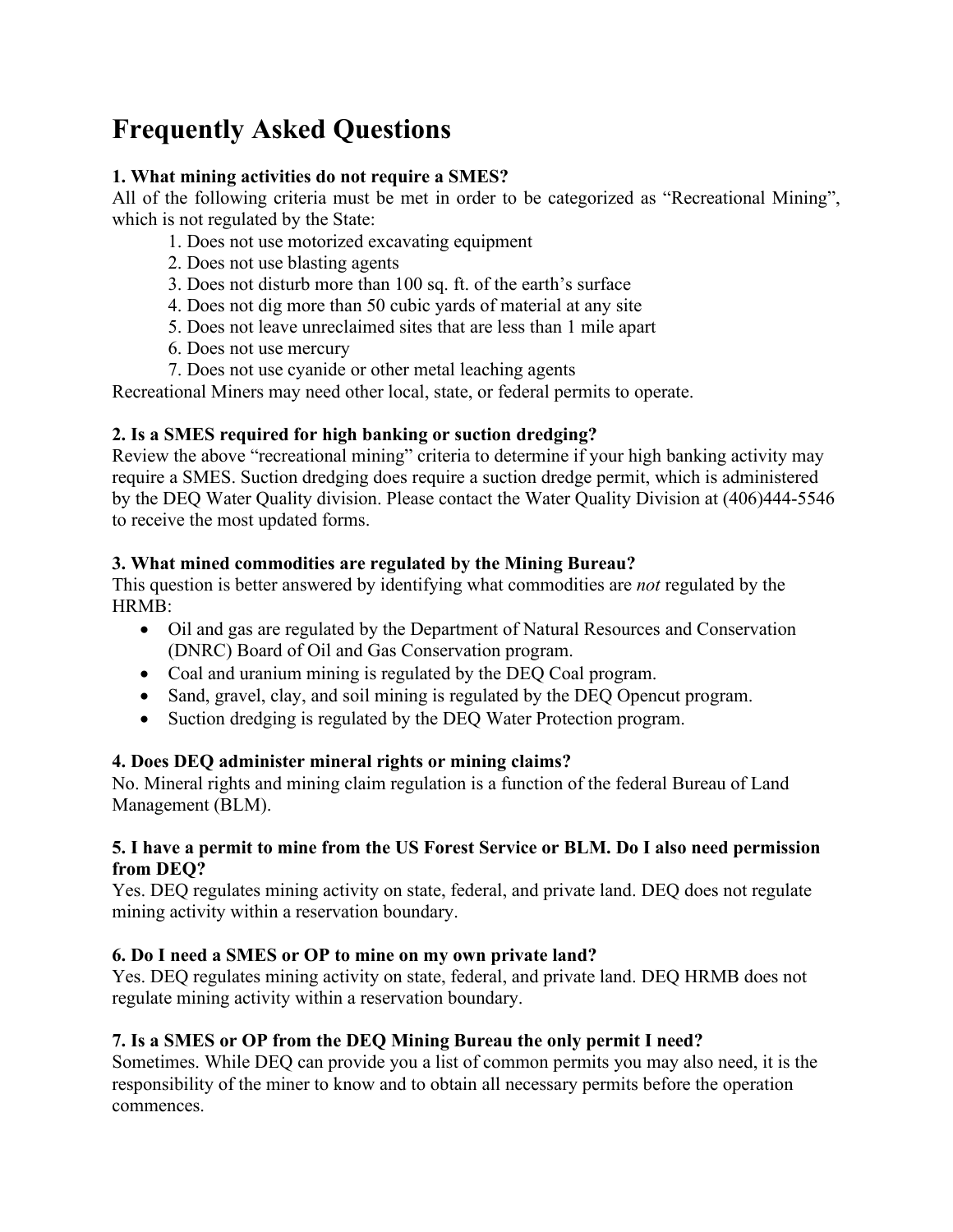# **Frequently Asked Questions**

### **1. What mining activities do not require a SMES?**

All of the following criteria must be met in order to be categorized as "Recreational Mining", which is not regulated by the State:

- 1. Does not use motorized excavating equipment
- 2. Does not use blasting agents
- 3. Does not disturb more than 100 sq. ft. of the earth's surface
- 4. Does not dig more than 50 cubic yards of material at any site
- 5. Does not leave unreclaimed sites that are less than 1 mile apart
- 6. Does not use mercury
- 7. Does not use cyanide or other metal leaching agents

Recreational Miners may need other local, state, or federal permits to operate.

## **2. Is a SMES required for high banking or suction dredging?**

Review the above "recreational mining" criteria to determine if your high banking activity may require a SMES. Suction dredging does require a suction dredge permit, which is administered by the DEQ Water Quality division. Please contact the Water Quality Division at (406)444-5546 to receive the most updated forms.

## **3. What mined commodities are regulated by the Mining Bureau?**

This question is better answered by identifying what commodities are *not* regulated by the HRMB:

- Oil and gas are regulated by the Department of Natural Resources and Conservation (DNRC) Board of Oil and Gas Conservation program.
- Coal and uranium mining is regulated by the DEQ Coal program.
- Sand, gravel, clay, and soil mining is regulated by the DEQ Opencut program.
- Suction dredging is regulated by the DEQ Water Protection program.

## **4. Does DEQ administer mineral rights or mining claims?**

No. Mineral rights and mining claim regulation is a function of the federal Bureau of Land Management (BLM).

#### **5. I have a permit to mine from the US Forest Service or BLM. Do I also need permission from DEQ?**

Yes. DEQ regulates mining activity on state, federal, and private land. DEQ does not regulate mining activity within a reservation boundary.

## **6. Do I need a SMES or OP to mine on my own private land?**

Yes. DEQ regulates mining activity on state, federal, and private land. DEQ HRMB does not regulate mining activity within a reservation boundary.

## **7. Is a SMES or OP from the DEQ Mining Bureau the only permit I need?**

Sometimes. While DEQ can provide you a list of common permits you may also need, it is the responsibility of the miner to know and to obtain all necessary permits before the operation commences.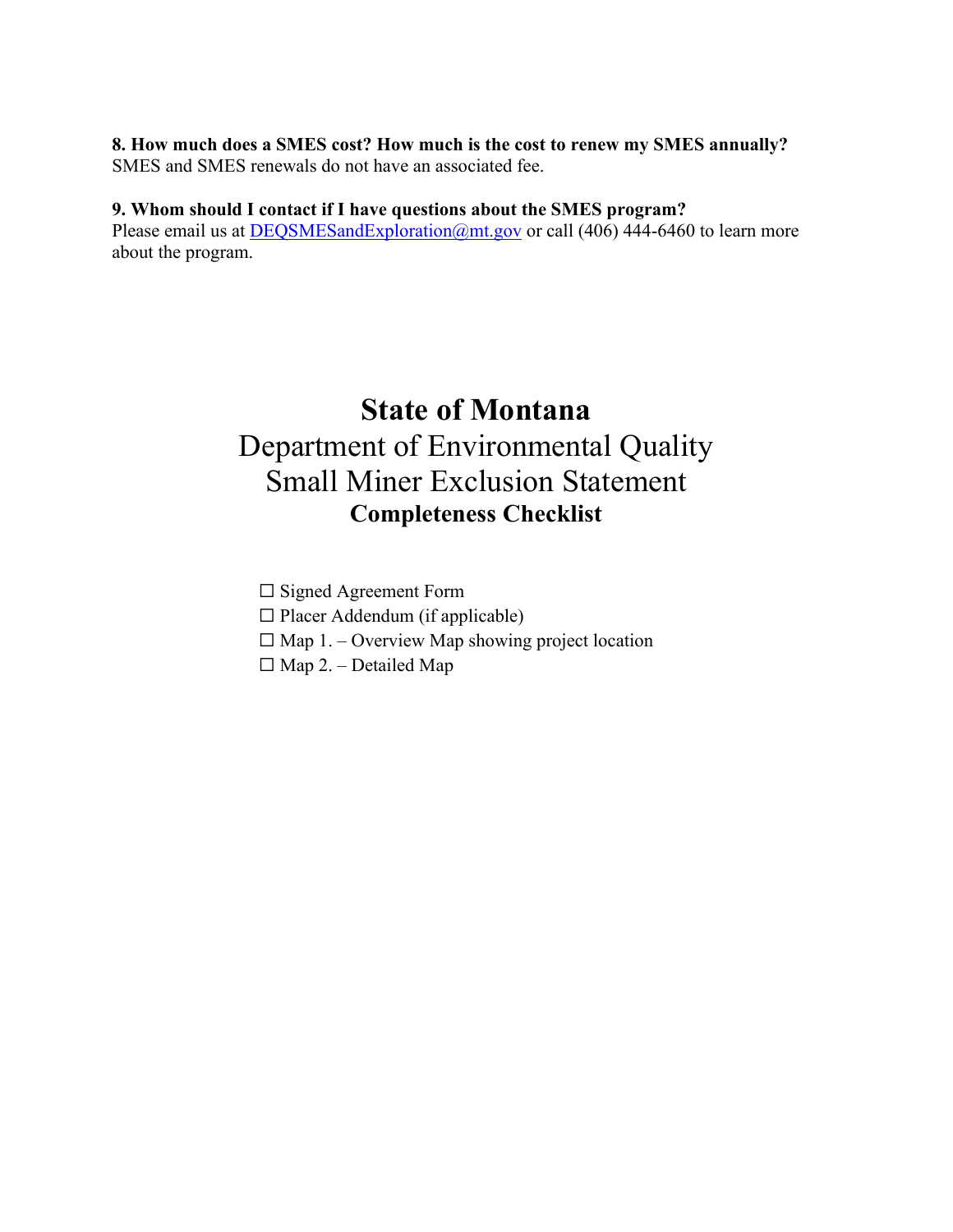#### **8. How much does a SMES cost? How much is the cost to renew my SMES annually?** SMES and SMES renewals do not have an associated fee.

#### **9. Whom should I contact if I have questions about the SMES program?**

Please email us at [DEQSMESandExploration@mt.gov](mailto:DEQSMESandExploration@mt.gov) or call (406) 444-6460 to learn more about the program.

# **State of Montana** Department of Environmental Quality Small Miner Exclusion Statement **Completeness Checklist**

☐ Signed Agreement Form

 $\Box$  Placer Addendum (if applicable)

 $\Box$  Map 1. – Overview Map showing project location

 $\Box$  Map 2. – Detailed Map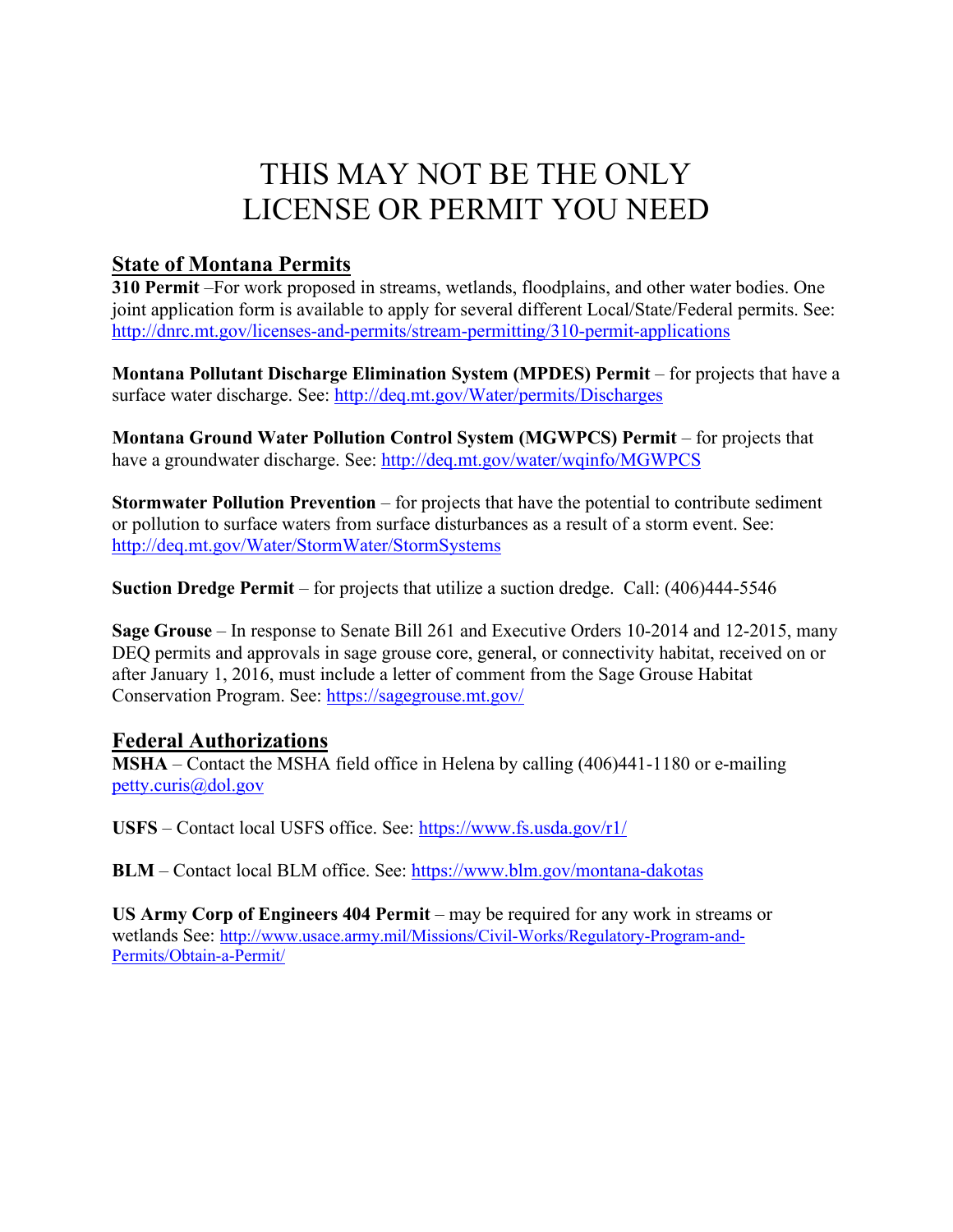# THIS MAY NOT BE THE ONLY LICENSE OR PERMIT YOU NEED

## **State of Montana Permits**

**310 Permit** –For work proposed in streams, wetlands, floodplains, and other water bodies. One joint application form is available to apply for several different Local/State/Federal permits. See: <http://dnrc.mt.gov/licenses-and-permits/stream-permitting/310-permit-applications>

**Montana Pollutant Discharge Elimination System (MPDES) Permit** – for projects that have a surface water discharge. See:<http://deq.mt.gov/Water/permits/Discharges>

**Montana Ground Water Pollution Control System (MGWPCS) Permit – for projects that** have a groundwater discharge. See:<http://deq.mt.gov/water/wqinfo/MGWPCS>

**Stormwater Pollution Prevention** – for projects that have the potential to contribute sediment or pollution to surface waters from surface disturbances as a result of a storm event. See: <http://deq.mt.gov/Water/StormWater/StormSystems>

**Suction Dredge Permit** – for projects that utilize a suction dredge. Call: (406)444-5546

**Sage Grouse** – In response to Senate Bill 261 and Executive Orders 10-2014 and 12-2015, many DEQ permits and approvals in sage grouse core, general, or connectivity habitat, received on or after January 1, 2016, must include a letter of comment from the Sage Grouse Habitat Conservation Program. See:<https://sagegrouse.mt.gov/>

### **Federal Authorizations**

**MSHA** – Contact the MSHA field office in Helena by calling (406)441-1180 or e-mailing [petty.curis@dol.gov](mailto:petty.curis@dol.gov)

**USFS** – Contact local USFS office. See:<https://www.fs.usda.gov/r1/>

**BLM** – Contact local BLM office. See:<https://www.blm.gov/montana-dakotas>

**US Army Corp of Engineers 404 Permit** – may be required for any work in streams or wetlands See: [http://www.usace.army.mil/Missions/Civil-Works/Regulatory-Program-and-](http://www.usace.army.mil/Missions/Civil-Works/Regulatory-Program-and-Permits/Obtain-a-Permit/)[Permits/Obtain-a-Permit/](http://www.usace.army.mil/Missions/Civil-Works/Regulatory-Program-and-Permits/Obtain-a-Permit/)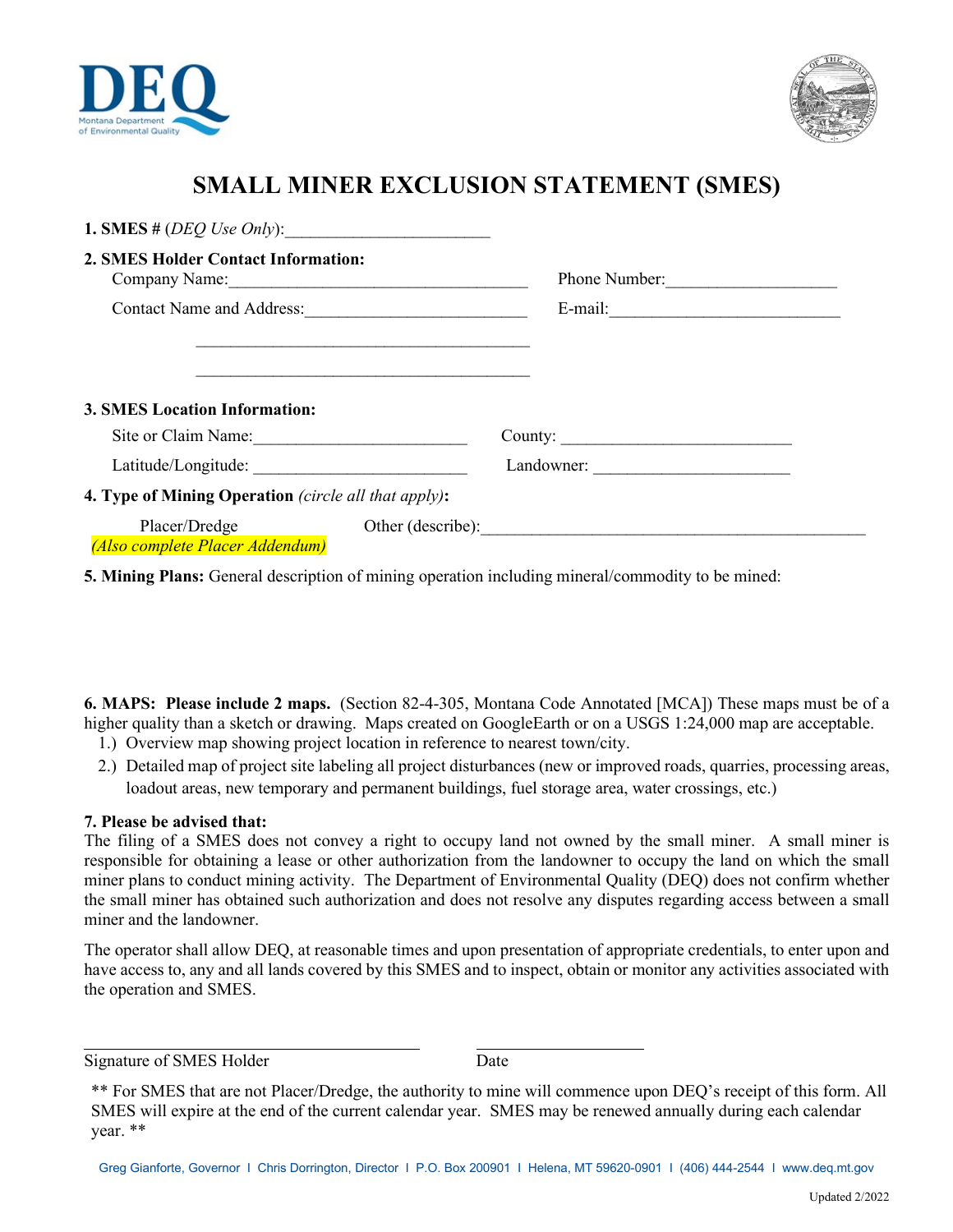



# **SMALL MINER EXCLUSION STATEMENT (SMES)**

| 1. SMES # $(DEQ$ Use Only:                           |                   |  |
|------------------------------------------------------|-------------------|--|
| 2. SMES Holder Contact Information:<br>Company Name: | Phone Number:     |  |
|                                                      |                   |  |
|                                                      |                   |  |
|                                                      |                   |  |
| <b>3. SMES Location Information:</b>                 |                   |  |
|                                                      |                   |  |
| Site or Claim Name:                                  |                   |  |
|                                                      | Landowner:        |  |
| 4. Type of Mining Operation (circle all that apply): |                   |  |
| Placer/Dredge<br>(Also complete Placer Addendum)     | Other (describe): |  |

**5. Mining Plans:** General description of mining operation including mineral/commodity to be mined:

**6. MAPS: Please include 2 maps.** (Section 82-4-305, Montana Code Annotated [MCA]) These maps must be of a higher quality than a sketch or drawing. Maps created on GoogleEarth or on a USGS 1:24,000 map are acceptable.

- 1.) Overview map showing project location in reference to nearest town/city.
- 2.) Detailed map of project site labeling all project disturbances (new or improved roads, quarries, processing areas, loadout areas, new temporary and permanent buildings, fuel storage area, water crossings, etc.)

#### **7. Please be advised that:**

The filing of a SMES does not convey a right to occupy land not owned by the small miner. A small miner is responsible for obtaining a lease or other authorization from the landowner to occupy the land on which the small miner plans to conduct mining activity. The Department of Environmental Quality (DEQ) does not confirm whether the small miner has obtained such authorization and does not resolve any disputes regarding access between a small miner and the landowner.

The operator shall allow DEQ, at reasonable times and upon presentation of appropriate credentials, to enter upon and have access to, any and all lands covered by this SMES and to inspect, obtain or monitor any activities associated with the operation and SMES.

Signature of SMES Holder Date

<sup>\*\*</sup> For SMES that are not Placer/Dredge, the authority to mine will commence upon DEQ's receipt of this form. All SMES will expire at the end of the current calendar year. SMES may be renewed annually during each calendar year. \*\*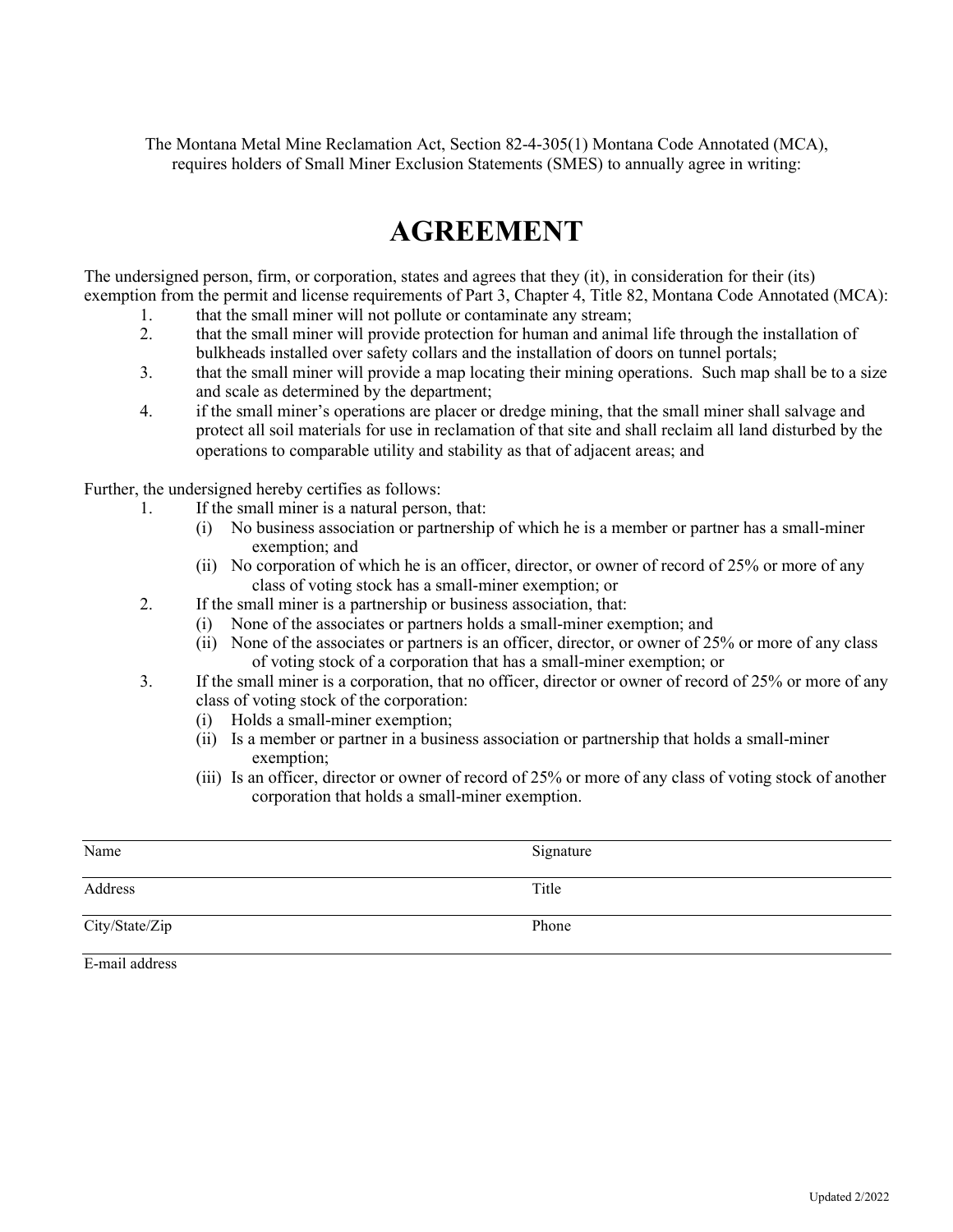The Montana Metal Mine Reclamation Act, Section 82-4-305(1) Montana Code Annotated (MCA), requires holders of Small Miner Exclusion Statements (SMES) to annually agree in writing:

# **AGREEMENT**

The undersigned person, firm, or corporation, states and agrees that they (it), in consideration for their (its) exemption from the permit and license requirements of Part 3, Chapter 4, Title 82, Montana Code Annotated (MCA):

- 1. that the small miner will not pollute or contaminate any stream;
- 2. that the small miner will provide protection for human and animal life through the installation of bulkheads installed over safety collars and the installation of doors on tunnel portals;
- 3. that the small miner will provide a map locating their mining operations. Such map shall be to a size and scale as determined by the department;
- 4. if the small miner's operations are placer or dredge mining, that the small miner shall salvage and protect all soil materials for use in reclamation of that site and shall reclaim all land disturbed by the operations to comparable utility and stability as that of adjacent areas; and

Further, the undersigned hereby certifies as follows:

- 1. If the small miner is a natural person, that:
	- (i) No business association or partnership of which he is a member or partner has a small-miner exemption; and
	- (ii) No corporation of which he is an officer, director, or owner of record of 25% or more of any class of voting stock has a small-miner exemption; or
- 2. If the small miner is a partnership or business association, that:
	- (i) None of the associates or partners holds a small-miner exemption; and
	- (ii) None of the associates or partners is an officer, director, or owner of 25% or more of any class of voting stock of a corporation that has a small-miner exemption; or
- 3. If the small miner is a corporation, that no officer, director or owner of record of 25% or more of any class of voting stock of the corporation:
	- (i) Holds a small-miner exemption;
	- (ii) Is a member or partner in a business association or partnership that holds a small-miner exemption;
	- (iii) Is an officer, director or owner of record of 25% or more of any class of voting stock of another corporation that holds a small-miner exemption.

| Name           | Signature |
|----------------|-----------|
| Address        | Title     |
| City/State/Zip | Phone     |

E-mail address